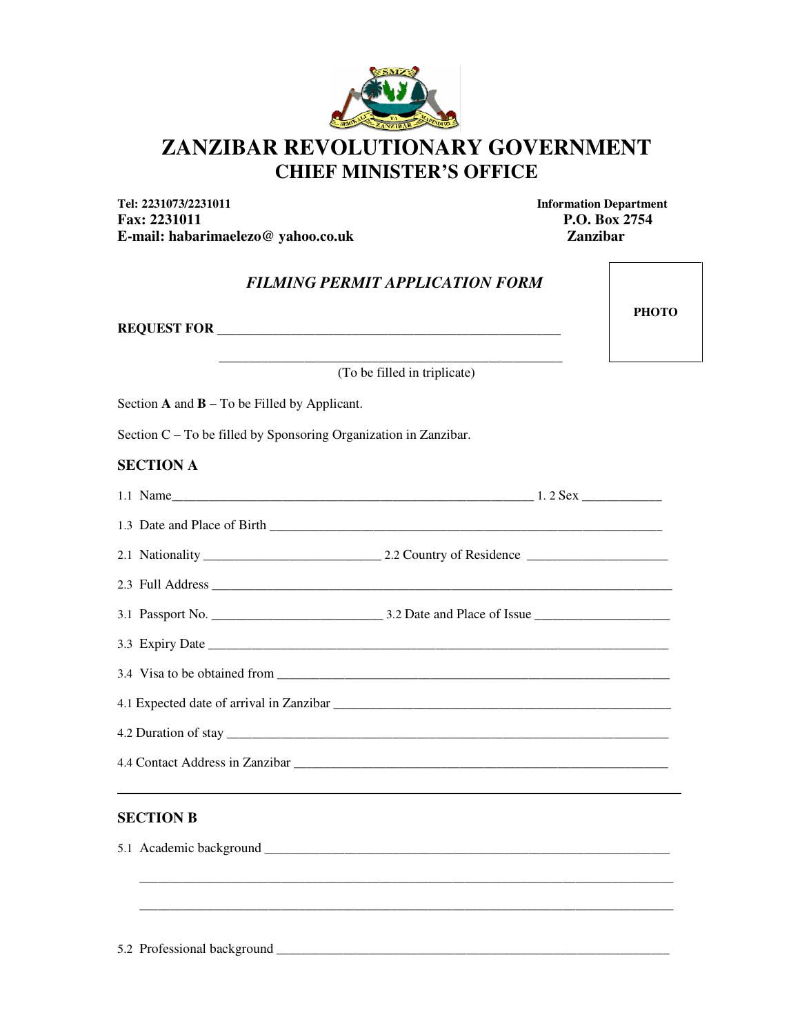

# **ZANZIBAR REVOLUTIONARY GOVERNMENT CHIEF MINISTER'S OFFICE**

**Tel: 2231073/2231011 Information Department**  Fax: 2231011 **P.O. Box 2754 E-mail: habarimaelezo@ yahoo.co.uk Zanzibar**

**PHOTO** 

## *FILMING PERMIT APPLICATION FORM*

**REQUEST FOR** \_\_\_\_\_\_\_\_\_\_\_\_\_\_\_\_\_\_\_\_\_\_\_\_\_\_\_\_\_\_\_\_\_\_\_\_\_\_\_\_\_\_\_\_\_\_\_\_\_\_\_\_\_\_\_\_

 $\frac{1}{2}$  ,  $\frac{1}{2}$  ,  $\frac{1}{2}$  ,  $\frac{1}{2}$  ,  $\frac{1}{2}$  ,  $\frac{1}{2}$  ,  $\frac{1}{2}$  ,  $\frac{1}{2}$  ,  $\frac{1}{2}$  ,  $\frac{1}{2}$  ,  $\frac{1}{2}$  ,  $\frac{1}{2}$  ,  $\frac{1}{2}$  ,  $\frac{1}{2}$  ,  $\frac{1}{2}$  ,  $\frac{1}{2}$  ,  $\frac{1}{2}$  ,  $\frac{1}{2}$  ,  $\frac{1$ (To be filled in triplicate)

Section **A** and **B** – To be Filled by Applicant.

Section C – To be filled by Sponsoring Organization in Zanzibar.

#### **SECTION A**

#### **SECTION B**

5.1 Academic background \_\_\_\_\_\_\_\_\_\_\_\_\_\_\_\_\_\_\_\_\_\_\_\_\_\_\_\_\_\_\_\_\_\_\_\_\_\_\_\_\_\_\_\_\_\_\_\_\_\_\_\_\_\_\_\_\_\_\_\_\_\_\_\_\_\_

\_\_\_\_\_\_\_\_\_\_\_\_\_\_\_\_\_\_\_\_\_\_\_\_\_\_\_\_\_\_\_\_\_\_\_\_\_\_\_\_\_\_\_\_\_\_\_\_\_\_\_\_\_\_\_\_\_\_\_\_\_\_\_\_\_\_\_\_\_\_\_\_\_\_\_\_\_\_\_\_\_\_\_\_\_\_\_

\_\_\_\_\_\_\_\_\_\_\_\_\_\_\_\_\_\_\_\_\_\_\_\_\_\_\_\_\_\_\_\_\_\_\_\_\_\_\_\_\_\_\_\_\_\_\_\_\_\_\_\_\_\_\_\_\_\_\_\_\_\_\_\_\_\_\_\_\_\_\_\_\_\_\_\_\_\_\_\_\_\_\_\_\_\_\_

5.2 Professional background \_\_\_\_\_\_\_\_\_\_\_\_\_\_\_\_\_\_\_\_\_\_\_\_\_\_\_\_\_\_\_\_\_\_\_\_\_\_\_\_\_\_\_\_\_\_\_\_\_\_\_\_\_\_\_\_\_\_\_\_\_\_\_\_